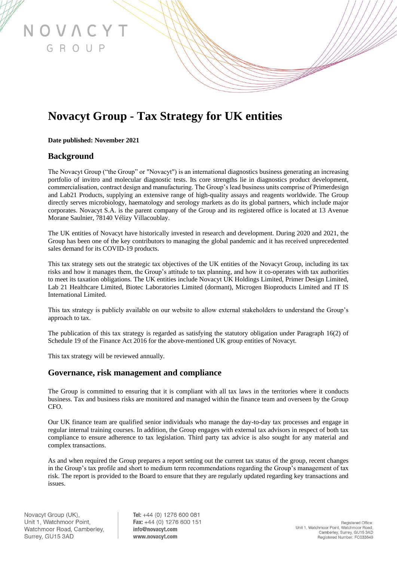# **Novacyt Group - Tax Strategy for UK entities**

#### **Date published: November 2021**

OVACYT

GROUP

#### **Background**

The Novacyt Group ("the Group" or "Novacyt") is an international diagnostics business generating an increasing portfolio of invitro and molecular diagnostic tests. Its core strengths lie in diagnostics product development, commercialisation, contract design and manufacturing. The Group's lead business units comprise of Primerdesign and Lab21 Products, supplying an extensive range of high-quality assays and reagents worldwide. The Group directly serves microbiology, haematology and serology markets as do its global partners, which include major corporates. Novacyt S.A. is the parent company of the Group and its registered office is located at 13 Avenue Morane Saulnier, 78140 Vélizy Villacoublay.

The UK entities of Novacyt have historically invested in research and development. During 2020 and 2021, the Group has been one of the key contributors to managing the global pandemic and it has received unprecedented sales demand for its COVID-19 products.

This tax strategy sets out the strategic tax objectives of the UK entities of the Novacyt Group, including its tax risks and how it manages them, the Group's attitude to tax planning, and how it co-operates with tax authorities to meet its taxation obligations. The UK entities include Novacyt UK Holdings Limited, Primer Design Limited, Lab 21 Healthcare Limited, Biotec Laboratories Limited (dormant), Microgen Bioproducts Limited and IT IS International Limited.

This tax strategy is publicly available on our website to allow external stakeholders to understand the Group's approach to tax.

The publication of this tax strategy is regarded as satisfying the statutory obligation under Paragraph 16(2) of Schedule 19 of the Finance Act 2016 for the above-mentioned UK group entities of Novacyt.

This tax strategy will be reviewed annually.

#### **Governance, risk management and compliance**

The Group is committed to ensuring that it is compliant with all tax laws in the territories where it conducts business. Tax and business risks are monitored and managed within the finance team and overseen by the Group CFO.

Our UK finance team are qualified senior individuals who manage the day-to-day tax processes and engage in regular internal training courses. In addition, the Group engages with external tax advisors in respect of both tax compliance to ensure adherence to tax legislation. Third party tax advice is also sought for any material and complex transactions.

As and when required the Group prepares a report setting out the current tax status of the group, recent changes in the Group's tax profile and short to medium term recommendations regarding the Group's management of tax risk. The report is provided to the Board to ensure that they are regularly updated regarding key transactions and issues.

Tel: +44 (0) 1276 600 081 Fax: +44 (0) 1276 600 151 info@novacyt.com www.novacyt.com